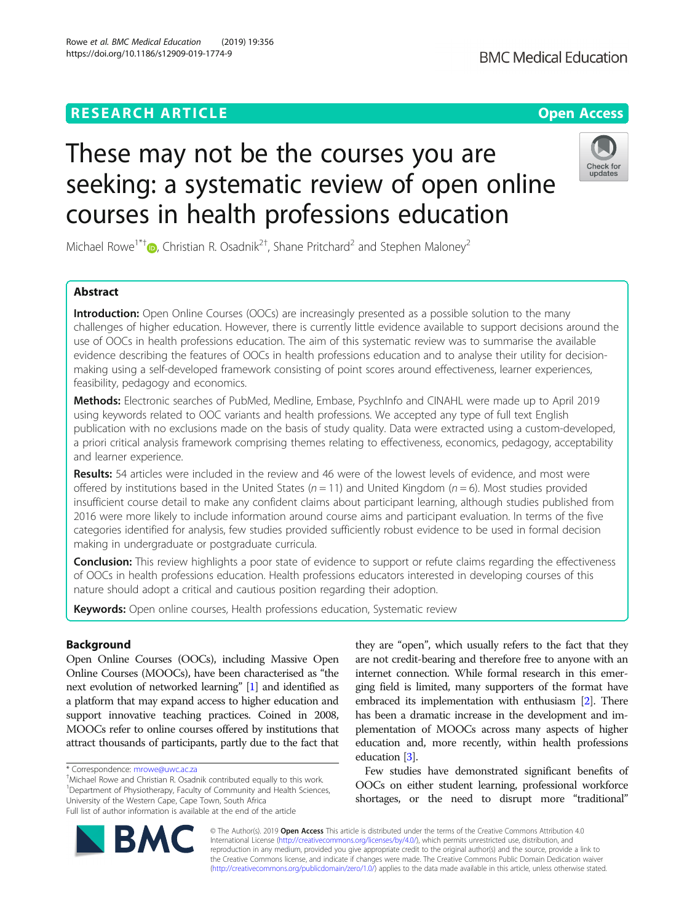## **RESEARCH ARTICLE Example 2014 12:30 The Contract of Contract ACCESS**

# These may not be the courses you are seeking: a systematic review of open online courses in health professions education

Michael Rowe<sup>1\*†</sup> D[,](http://orcid.org/0000-0002-1538-6052) Christian R. Osadnik<sup>2†</sup>, Shane Pritchard<sup>2</sup> and Stephen Maloney<sup>2</sup>

## Abstract

Introduction: Open Online Courses (OOCs) are increasingly presented as a possible solution to the many challenges of higher education. However, there is currently little evidence available to support decisions around the use of OOCs in health professions education. The aim of this systematic review was to summarise the available evidence describing the features of OOCs in health professions education and to analyse their utility for decisionmaking using a self-developed framework consisting of point scores around effectiveness, learner experiences, feasibility, pedagogy and economics.

Methods: Electronic searches of PubMed, Medline, Embase, PsychInfo and CINAHL were made up to April 2019 using keywords related to OOC variants and health professions. We accepted any type of full text English publication with no exclusions made on the basis of study quality. Data were extracted using a custom-developed, a priori critical analysis framework comprising themes relating to effectiveness, economics, pedagogy, acceptability and learner experience.

Results: 54 articles were included in the review and 46 were of the lowest levels of evidence, and most were offered by institutions based in the United States ( $n = 11$ ) and United Kingdom ( $n = 6$ ). Most studies provided insufficient course detail to make any confident claims about participant learning, although studies published from 2016 were more likely to include information around course aims and participant evaluation. In terms of the five categories identified for analysis, few studies provided sufficiently robust evidence to be used in formal decision making in undergraduate or postgraduate curricula.

**Conclusion:** This review highlights a poor state of evidence to support or refute claims regarding the effectiveness of OOCs in health professions education. Health professions educators interested in developing courses of this nature should adopt a critical and cautious position regarding their adoption.

Keywords: Open online courses, Health professions education, Systematic review

## Background

Open Online Courses (OOCs), including Massive Open Online Courses (MOOCs), have been characterised as "the next evolution of networked learning" [\[1\]](#page-9-0) and identified as a platform that may expand access to higher education and support innovative teaching practices. Coined in 2008, MOOCs refer to online courses offered by institutions that attract thousands of participants, partly due to the fact that

Michael Rowe and Christian R. Osadnik contributed equally to this work. <sup>1</sup>Department of Physiotherapy, Faculty of Community and Health Sciences, University of the Western Cape, Cape Town, South Africa Full list of author information is available at the end of the article

> © The Author(s). 2019 Open Access This article is distributed under the terms of the Creative Commons Attribution 4.0 International License [\(http://creativecommons.org/licenses/by/4.0/](http://creativecommons.org/licenses/by/4.0/)), which permits unrestricted use, distribution, and reproduction in any medium, provided you give appropriate credit to the original author(s) and the source, provide a link to the Creative Commons license, and indicate if changes were made. The Creative Commons Public Domain Dedication waiver [\(http://creativecommons.org/publicdomain/zero/1.0/](http://creativecommons.org/publicdomain/zero/1.0/)) applies to the data made available in this article, unless otherwise stated.

they are "open", which usually refers to the fact that they are not credit-bearing and therefore free to anyone with an internet connection. While formal research in this emerging field is limited, many supporters of the format have embraced its implementation with enthusiasm [\[2\]](#page-9-0). There has been a dramatic increase in the development and implementation of MOOCs across many aspects of higher education and, more recently, within health professions education [[3](#page-9-0)].

Few studies have demonstrated significant benefits of OOCs on either student learning, professional workforce shortages, or the need to disrupt more "traditional"

**BM** 





<sup>\*</sup> Correspondence: [mrowe@uwc.ac.za](mailto:mrowe@uwc.ac.za) †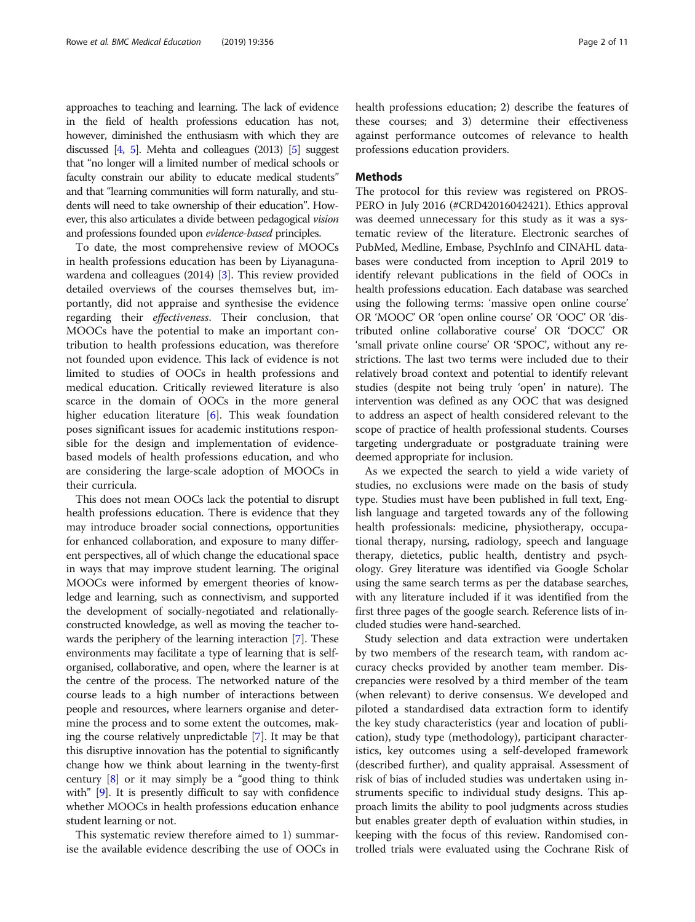approaches to teaching and learning. The lack of evidence in the field of health professions education has not, however, diminished the enthusiasm with which they are discussed  $[4, 5]$  $[4, 5]$  $[4, 5]$  $[4, 5]$ . Mehta and colleagues (2013)  $[5]$  suggest that "no longer will a limited number of medical schools or faculty constrain our ability to educate medical students" and that "learning communities will form naturally, and students will need to take ownership of their education". However, this also articulates a divide between pedagogical vision and professions founded upon evidence-based principles.

To date, the most comprehensive review of MOOCs in health professions education has been by Liyanagunawardena and colleagues (2014) [[3\]](#page-9-0). This review provided detailed overviews of the courses themselves but, importantly, did not appraise and synthesise the evidence regarding their effectiveness. Their conclusion, that MOOCs have the potential to make an important contribution to health professions education, was therefore not founded upon evidence. This lack of evidence is not limited to studies of OOCs in health professions and medical education. Critically reviewed literature is also scarce in the domain of OOCs in the more general higher education literature [\[6\]](#page-9-0). This weak foundation poses significant issues for academic institutions responsible for the design and implementation of evidencebased models of health professions education, and who are considering the large-scale adoption of MOOCs in their curricula.

This does not mean OOCs lack the potential to disrupt health professions education. There is evidence that they may introduce broader social connections, opportunities for enhanced collaboration, and exposure to many different perspectives, all of which change the educational space in ways that may improve student learning. The original MOOCs were informed by emergent theories of knowledge and learning, such as connectivism, and supported the development of socially-negotiated and relationallyconstructed knowledge, as well as moving the teacher towards the periphery of the learning interaction [\[7](#page-9-0)]. These environments may facilitate a type of learning that is selforganised, collaborative, and open, where the learner is at the centre of the process. The networked nature of the course leads to a high number of interactions between people and resources, where learners organise and determine the process and to some extent the outcomes, making the course relatively unpredictable [[7](#page-9-0)]. It may be that this disruptive innovation has the potential to significantly change how we think about learning in the twenty-first century [\[8](#page-9-0)] or it may simply be a "good thing to think with" [\[9\]](#page-9-0). It is presently difficult to say with confidence whether MOOCs in health professions education enhance student learning or not.

This systematic review therefore aimed to 1) summarise the available evidence describing the use of OOCs in health professions education; 2) describe the features of these courses; and 3) determine their effectiveness against performance outcomes of relevance to health professions education providers.

## Methods

The protocol for this review was registered on PROS-PERO in July 2016 (#CRD42016042421). Ethics approval was deemed unnecessary for this study as it was a systematic review of the literature. Electronic searches of PubMed, Medline, Embase, PsychInfo and CINAHL databases were conducted from inception to April 2019 to identify relevant publications in the field of OOCs in health professions education. Each database was searched using the following terms: 'massive open online course' OR 'MOOC' OR 'open online course' OR 'OOC' OR 'distributed online collaborative course' OR 'DOCC' OR 'small private online course' OR 'SPOC', without any restrictions. The last two terms were included due to their relatively broad context and potential to identify relevant studies (despite not being truly 'open' in nature). The intervention was defined as any OOC that was designed to address an aspect of health considered relevant to the scope of practice of health professional students. Courses targeting undergraduate or postgraduate training were deemed appropriate for inclusion.

As we expected the search to yield a wide variety of studies, no exclusions were made on the basis of study type. Studies must have been published in full text, English language and targeted towards any of the following health professionals: medicine, physiotherapy, occupational therapy, nursing, radiology, speech and language therapy, dietetics, public health, dentistry and psychology. Grey literature was identified via Google Scholar using the same search terms as per the database searches, with any literature included if it was identified from the first three pages of the google search. Reference lists of included studies were hand-searched.

Study selection and data extraction were undertaken by two members of the research team, with random accuracy checks provided by another team member. Discrepancies were resolved by a third member of the team (when relevant) to derive consensus. We developed and piloted a standardised data extraction form to identify the key study characteristics (year and location of publication), study type (methodology), participant characteristics, key outcomes using a self-developed framework (described further), and quality appraisal. Assessment of risk of bias of included studies was undertaken using instruments specific to individual study designs. This approach limits the ability to pool judgments across studies but enables greater depth of evaluation within studies, in keeping with the focus of this review. Randomised controlled trials were evaluated using the Cochrane Risk of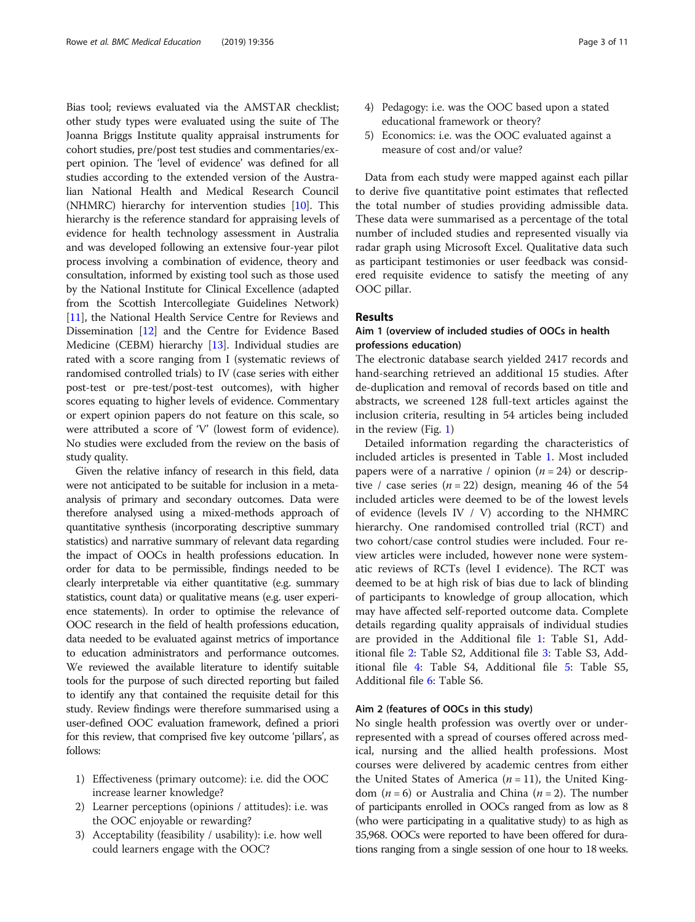Bias tool; reviews evaluated via the AMSTAR checklist; other study types were evaluated using the suite of The Joanna Briggs Institute quality appraisal instruments for cohort studies, pre/post test studies and commentaries/expert opinion. The 'level of evidence' was defined for all studies according to the extended version of the Australian National Health and Medical Research Council (NHMRC) hierarchy for intervention studies [[10](#page-9-0)]. This hierarchy is the reference standard for appraising levels of evidence for health technology assessment in Australia and was developed following an extensive four-year pilot process involving a combination of evidence, theory and consultation, informed by existing tool such as those used by the National Institute for Clinical Excellence (adapted from the Scottish Intercollegiate Guidelines Network) [[11](#page-9-0)], the National Health Service Centre for Reviews and Dissemination [\[12\]](#page-9-0) and the Centre for Evidence Based Medicine (CEBM) hierarchy [[13](#page-9-0)]. Individual studies are rated with a score ranging from I (systematic reviews of randomised controlled trials) to IV (case series with either post-test or pre-test/post-test outcomes), with higher scores equating to higher levels of evidence. Commentary or expert opinion papers do not feature on this scale, so were attributed a score of 'V' (lowest form of evidence). No studies were excluded from the review on the basis of study quality.

Given the relative infancy of research in this field, data were not anticipated to be suitable for inclusion in a metaanalysis of primary and secondary outcomes. Data were therefore analysed using a mixed-methods approach of quantitative synthesis (incorporating descriptive summary statistics) and narrative summary of relevant data regarding the impact of OOCs in health professions education. In order for data to be permissible, findings needed to be clearly interpretable via either quantitative (e.g. summary statistics, count data) or qualitative means (e.g. user experience statements). In order to optimise the relevance of OOC research in the field of health professions education, data needed to be evaluated against metrics of importance to education administrators and performance outcomes. We reviewed the available literature to identify suitable tools for the purpose of such directed reporting but failed to identify any that contained the requisite detail for this study. Review findings were therefore summarised using a user-defined OOC evaluation framework, defined a priori for this review, that comprised five key outcome 'pillars', as follows:

- 1) Effectiveness (primary outcome): i.e. did the OOC increase learner knowledge?
- 2) Learner perceptions (opinions / attitudes): i.e. was the OOC enjoyable or rewarding?
- 3) Acceptability (feasibility / usability): i.e. how well could learners engage with the OOC?
- 4) Pedagogy: i.e. was the OOC based upon a stated educational framework or theory?
- 5) Economics: i.e. was the OOC evaluated against a measure of cost and/or value?

Data from each study were mapped against each pillar to derive five quantitative point estimates that reflected the total number of studies providing admissible data. These data were summarised as a percentage of the total number of included studies and represented visually via radar graph using Microsoft Excel. Qualitative data such as participant testimonies or user feedback was considered requisite evidence to satisfy the meeting of any OOC pillar.

## Results

## Aim 1 (overview of included studies of OOCs in health professions education)

The electronic database search yielded 2417 records and hand-searching retrieved an additional 15 studies. After de-duplication and removal of records based on title and abstracts, we screened 128 full-text articles against the inclusion criteria, resulting in 54 articles being included in the review (Fig. [1](#page-3-0))

Detailed information regarding the characteristics of included articles is presented in Table [1.](#page-4-0) Most included papers were of a narrative / opinion  $(n = 24)$  or descriptive / case series  $(n = 22)$  design, meaning 46 of the 54 included articles were deemed to be of the lowest levels of evidence (levels IV / V) according to the NHMRC hierarchy. One randomised controlled trial (RCT) and two cohort/case control studies were included. Four review articles were included, however none were systematic reviews of RCTs (level I evidence). The RCT was deemed to be at high risk of bias due to lack of blinding of participants to knowledge of group allocation, which may have affected self-reported outcome data. Complete details regarding quality appraisals of individual studies are provided in the Additional file [1](#page-8-0): Table S1, Additional file [2:](#page-8-0) Table S2, Additional file [3:](#page-8-0) Table S3, Additional file [4](#page-8-0): Table S4, Additional file [5:](#page-8-0) Table S5, Additional file [6](#page-8-0): Table S6.

## Aim 2 (features of OOCs in this study)

No single health profession was overtly over or underrepresented with a spread of courses offered across medical, nursing and the allied health professions. Most courses were delivered by academic centres from either the United States of America ( $n = 11$ ), the United Kingdom ( $n = 6$ ) or Australia and China ( $n = 2$ ). The number of participants enrolled in OOCs ranged from as low as 8 (who were participating in a qualitative study) to as high as 35,968. OOCs were reported to have been offered for durations ranging from a single session of one hour to 18 weeks.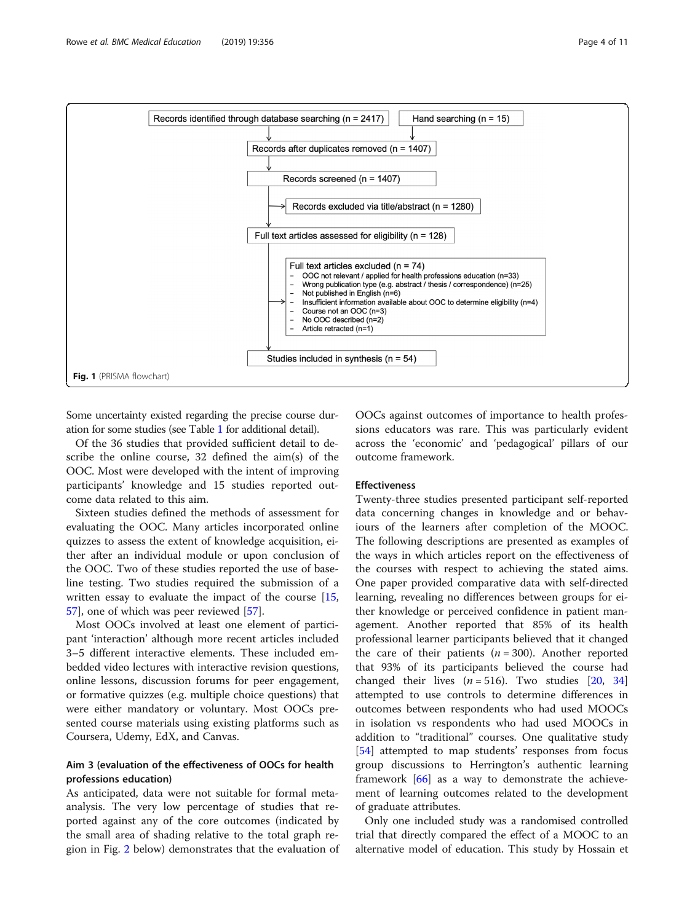<span id="page-3-0"></span>

Some uncertainty existed regarding the precise course duration for some studies (see Table [1](#page-4-0) for additional detail).

Of the 36 studies that provided sufficient detail to describe the online course, 32 defined the aim(s) of the OOC. Most were developed with the intent of improving participants' knowledge and 15 studies reported outcome data related to this aim.

Sixteen studies defined the methods of assessment for evaluating the OOC. Many articles incorporated online quizzes to assess the extent of knowledge acquisition, either after an individual module or upon conclusion of the OOC. Two of these studies reported the use of baseline testing. Two studies required the submission of a written essay to evaluate the impact of the course [[15](#page-9-0), [57\]](#page-10-0), one of which was peer reviewed [[57](#page-10-0)].

Most OOCs involved at least one element of participant 'interaction' although more recent articles included 3–5 different interactive elements. These included embedded video lectures with interactive revision questions, online lessons, discussion forums for peer engagement, or formative quizzes (e.g. multiple choice questions) that were either mandatory or voluntary. Most OOCs presented course materials using existing platforms such as Coursera, Udemy, EdX, and Canvas.

## Aim 3 (evaluation of the effectiveness of OOCs for health professions education)

As anticipated, data were not suitable for formal metaanalysis. The very low percentage of studies that reported against any of the core outcomes (indicated by the small area of shading relative to the total graph region in Fig. [2](#page-6-0) below) demonstrates that the evaluation of

OOCs against outcomes of importance to health professions educators was rare. This was particularly evident across the 'economic' and 'pedagogical' pillars of our outcome framework.

#### Effectiveness

Twenty-three studies presented participant self-reported data concerning changes in knowledge and or behaviours of the learners after completion of the MOOC. The following descriptions are presented as examples of the ways in which articles report on the effectiveness of the courses with respect to achieving the stated aims. One paper provided comparative data with self-directed learning, revealing no differences between groups for either knowledge or perceived confidence in patient management. Another reported that 85% of its health professional learner participants believed that it changed the care of their patients  $(n = 300)$ . Another reported that 93% of its participants believed the course had changed their lives  $(n = 516)$ . Two studies [\[20](#page-9-0), [34](#page-9-0)] attempted to use controls to determine differences in outcomes between respondents who had used MOOCs in isolation vs respondents who had used MOOCs in addition to "traditional" courses. One qualitative study [[54\]](#page-10-0) attempted to map students' responses from focus group discussions to Herrington's authentic learning framework [[66\]](#page-10-0) as a way to demonstrate the achievement of learning outcomes related to the development of graduate attributes.

Only one included study was a randomised controlled trial that directly compared the effect of a MOOC to an alternative model of education. This study by Hossain et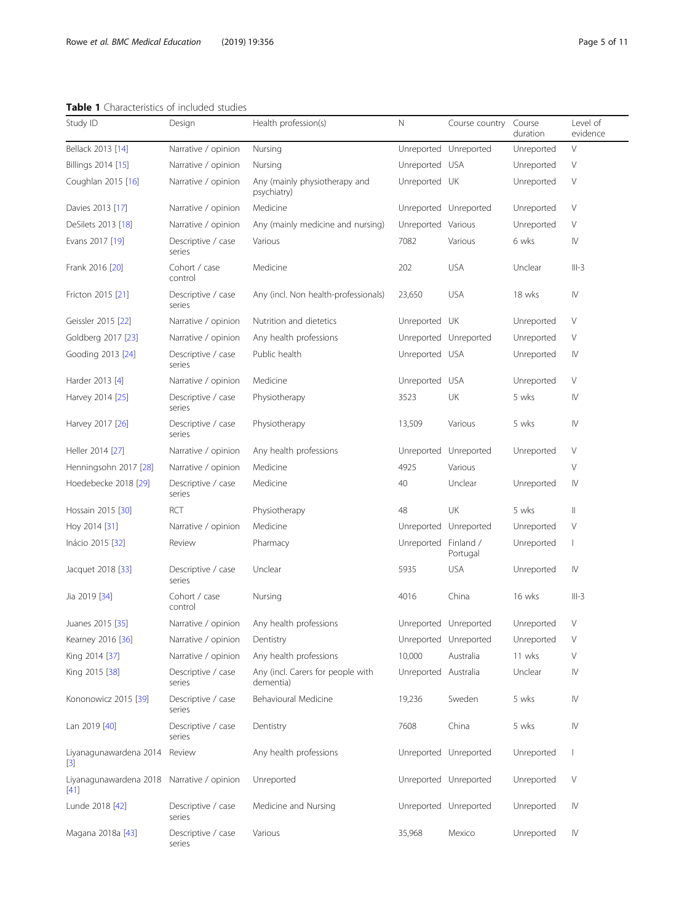## <span id="page-4-0"></span>Table 1 Characteristics of included studies

| Study ID                                             | Design                       | Health profession(s)                           | N                    | Course country        | Course<br>duration | Level of<br>evidence                                                                                                                                                                                                                                                                                                                                                                                                         |  |
|------------------------------------------------------|------------------------------|------------------------------------------------|----------------------|-----------------------|--------------------|------------------------------------------------------------------------------------------------------------------------------------------------------------------------------------------------------------------------------------------------------------------------------------------------------------------------------------------------------------------------------------------------------------------------------|--|
| Bellack 2013 [14]                                    | Narrative / opinion          | Nursing                                        |                      | Unreported Unreported | Unreported         | $\vee$                                                                                                                                                                                                                                                                                                                                                                                                                       |  |
| Billings 2014 [15]                                   | Narrative / opinion          | Nursing                                        | Unreported           | <b>USA</b>            | Unreported         | $\vee$                                                                                                                                                                                                                                                                                                                                                                                                                       |  |
| Coughlan 2015 [16]                                   | Narrative / opinion          | Any (mainly physiotherapy and<br>psychiatry)   | Unreported UK        |                       | Unreported         | V                                                                                                                                                                                                                                                                                                                                                                                                                            |  |
| Davies 2013 [17]                                     | Narrative / opinion          | Medicine                                       |                      | Unreported Unreported | Unreported         | V                                                                                                                                                                                                                                                                                                                                                                                                                            |  |
| DeSilets 2013 [18]                                   | Narrative / opinion          | Any (mainly medicine and nursing)              | Unreported Various   |                       | Unreported         | $\vee$                                                                                                                                                                                                                                                                                                                                                                                                                       |  |
| Evans 2017 [19]                                      | Descriptive / case<br>series | Various                                        | 7082                 | Various               | 6 wks              | IV                                                                                                                                                                                                                                                                                                                                                                                                                           |  |
| Frank 2016 [20]                                      | Cohort / case<br>control     | Medicine                                       | 202                  | <b>USA</b>            | Unclear            | $III-3$                                                                                                                                                                                                                                                                                                                                                                                                                      |  |
| Fricton 2015 [21]                                    | Descriptive / case<br>series | Any (incl. Non health-professionals)           | 23,650               | <b>USA</b>            | 18 wks             | $\mathsf{I}\mathsf{V}$                                                                                                                                                                                                                                                                                                                                                                                                       |  |
| Geissler 2015 [22]                                   | Narrative / opinion          | Nutrition and dietetics                        | Unreported UK        |                       | Unreported         | V                                                                                                                                                                                                                                                                                                                                                                                                                            |  |
| Goldberg 2017 [23]                                   | Narrative / opinion          | Any health professions                         |                      | Unreported Unreported | Unreported         | V                                                                                                                                                                                                                                                                                                                                                                                                                            |  |
| Gooding 2013 [24]                                    | Descriptive / case<br>series | Public health                                  | Unreported           | usa                   | Unreported         | IV                                                                                                                                                                                                                                                                                                                                                                                                                           |  |
| Harder 2013 [4]                                      | Narrative / opinion          | Medicine                                       | Unreported           | <b>USA</b>            | Unreported         | V                                                                                                                                                                                                                                                                                                                                                                                                                            |  |
| Harvey 2014 [25]                                     | Descriptive / case<br>series | Physiotherapy                                  | 3523                 | UK                    | 5 wks              | IV                                                                                                                                                                                                                                                                                                                                                                                                                           |  |
| Harvey 2017 [26]                                     | Descriptive / case<br>series | Physiotherapy                                  | 13,509               | Various               | 5 wks              | $\mathsf{N}$                                                                                                                                                                                                                                                                                                                                                                                                                 |  |
| Heller 2014 [27]                                     | Narrative / opinion          | Any health professions                         | Unreported           | Unreported            | Unreported         | $\vee$                                                                                                                                                                                                                                                                                                                                                                                                                       |  |
| Henningsohn 2017 [28]                                | Narrative / opinion          | Medicine                                       | 4925                 | Various               |                    | $\vee$                                                                                                                                                                                                                                                                                                                                                                                                                       |  |
| Hoedebecke 2018 [29]                                 | Descriptive / case<br>series | Medicine                                       | 40                   | Unclear               | Unreported         | IV                                                                                                                                                                                                                                                                                                                                                                                                                           |  |
| Hossain 2015 [30]                                    | RCT                          | Physiotherapy                                  | 48                   | UK                    | 5 wks              | $\label{eq:1} \prod_{i=1}^n \alpha_i \, \prod_{i=1}^n \alpha_i \, \prod_{i=1}^n \alpha_i \, \prod_{i=1}^n \alpha_i \, \prod_{i=1}^n \alpha_i \, \prod_{i=1}^n \alpha_i \, \prod_{i=1}^n \alpha_i \, \prod_{i=1}^n \alpha_i \, \prod_{i=1}^n \alpha_i \, \prod_{i=1}^n \alpha_i \, \prod_{i=1}^n \alpha_i \, \prod_{i=1}^n \alpha_i \, \prod_{i=1}^n \alpha_i \, \prod_{i=1}^n \alpha_i \, \prod_{i=1}^n \alpha_i \, \prod_{$ |  |
| Hoy 2014 [31]                                        | Narrative / opinion          | Medicine                                       | Unreported           | Unreported            | Unreported         | V                                                                                                                                                                                                                                                                                                                                                                                                                            |  |
| Inácio 2015 [32]                                     | Review                       | Pharmacy                                       | Unreported           | Finland /<br>Portugal | Unreported         | 1                                                                                                                                                                                                                                                                                                                                                                                                                            |  |
| Jacquet 2018 [33]                                    | Descriptive / case<br>series | Unclear                                        | 5935                 | <b>USA</b>            | Unreported         | IV                                                                                                                                                                                                                                                                                                                                                                                                                           |  |
| Jia 2019 [34]                                        | Cohort / case<br>control     | Nursing                                        | 4016                 | China                 | 16 wks             | $III-3$                                                                                                                                                                                                                                                                                                                                                                                                                      |  |
| Juanes 2015 [35]                                     | Narrative / opinion          | Any health professions                         |                      | Unreported Unreported | Unreported         | $\vee$                                                                                                                                                                                                                                                                                                                                                                                                                       |  |
| Kearney 2016 [36]                                    | Narrative / opinion          | Dentistry                                      |                      | Unreported Unreported | Unreported         | V                                                                                                                                                                                                                                                                                                                                                                                                                            |  |
| King 2014 [37]                                       | Narrative / opinion          | Any health professions                         | 10,000               | Australia             | 11 wks             | V                                                                                                                                                                                                                                                                                                                                                                                                                            |  |
| King 2015 [38]                                       | Descriptive / case<br>series | Any (incl. Carers for people with<br>dementia) | Unreported Australia |                       | Unclear            | $\mathsf{I}\mathsf{V}$                                                                                                                                                                                                                                                                                                                                                                                                       |  |
| Kononowicz 2015 [39]                                 | Descriptive / case<br>series | Behavioural Medicine                           | 19,236               | Sweden                | 5 wks              | IV                                                                                                                                                                                                                                                                                                                                                                                                                           |  |
| Lan 2019 [40]                                        | Descriptive / case<br>series | Dentistry                                      | 7608                 | China                 | 5 wks              | $\mathsf{I}\mathsf{V}$                                                                                                                                                                                                                                                                                                                                                                                                       |  |
| Liyanagunawardena 2014 Review<br>$[3]$               |                              | Any health professions                         |                      | Unreported Unreported | Unreported         | $\overline{\phantom{a}}$                                                                                                                                                                                                                                                                                                                                                                                                     |  |
| Liyanagunawardena 2018 Narrative / opinion<br>$[41]$ |                              | Unreported                                     |                      | Unreported Unreported | Unreported         | V                                                                                                                                                                                                                                                                                                                                                                                                                            |  |
| Lunde 2018 [42]                                      | Descriptive / case<br>series | Medicine and Nursing                           |                      | Unreported Unreported | Unreported         | IV                                                                                                                                                                                                                                                                                                                                                                                                                           |  |
| Magana 2018a [43]                                    | Descriptive / case<br>series | Various                                        | 35,968               | Mexico                | Unreported         | IV                                                                                                                                                                                                                                                                                                                                                                                                                           |  |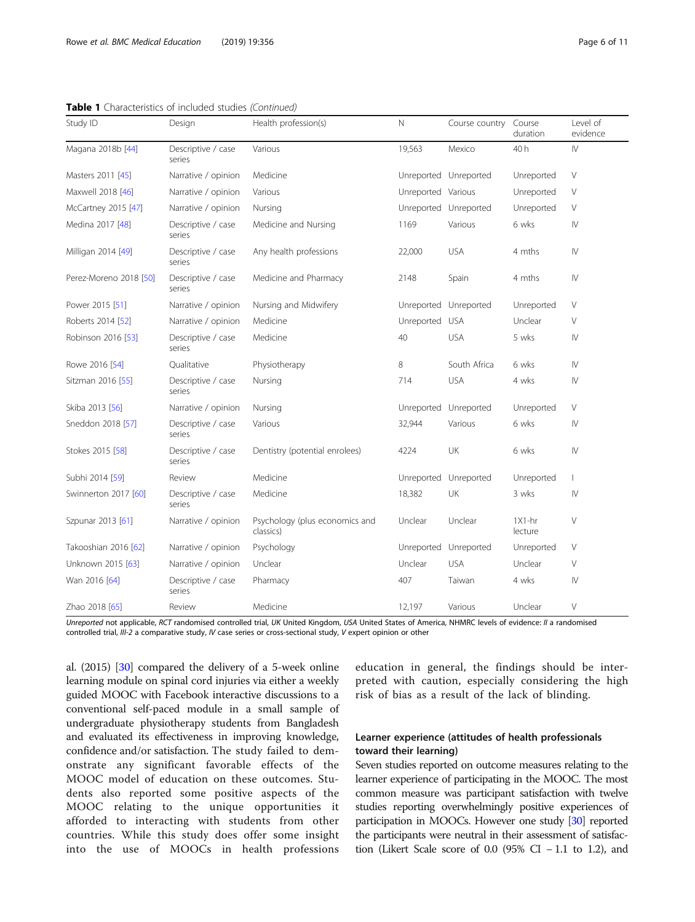Study ID **Design Bealth profession(s)** N Course country Course duration Level of evidence Magana 2018b [[44](#page-10-0)] Descriptive / case series Various **19,563** Mexico 40 h IV Masters 2011 [[45\]](#page-10-0) Narrative / opinion Medicine National Discovery Control Unreported Unreported View Narrative / opinion Medicine Maxwell 2018 [[46](#page-10-0)] Narrative / opinion Various Unreported Various Unreported V McCartney 2015 [[47](#page-10-0)] Marrative / opinion Nursing Nursing Unreported Unreported Unreported V Medina 2017 [[48](#page-10-0)] Descriptive / case series Medicine and Nursing **1169** Various 6 wks IV Milligan 2014 [[49](#page-10-0)] Descriptive / case series Any health professions  $22,000$  USA 4 mths IV Perez-Moreno 2018 [\[50\]](#page-10-0) Descriptive / case series Medicine and Pharmacy and 2148 Spain 4 mths IV Power 2015 [[51\]](#page-10-0) Narrative / opinion Nursing and Midwifery Compared Unreported Unreported Unreported V Roberts 2014 [[52](#page-10-0)] Marrative / opinion Medicine National Medicine Unreported USA Unclear V Robinson 2016 [[53](#page-10-0)] Descriptive / case series Medicine 10 and 40 USA 5 wks IV Rowe 2016 [[54](#page-10-0)] Cualitative Physiotherapy 8 South Africa 6 wks IV Sitzman 2016 [\[55\]](#page-10-0) Descriptive / case series Nursing 714 USA 4 wks IV Skiba 2013 [\[56](#page-10-0)] Narrative / opinion Nursing Nursing Unreported Unreported Unreported V Sneddon 2018 [[57](#page-10-0)] Descriptive / case series Various **1988** various 32,944 Various 6 wks IV Stokes 2015 [\[58\]](#page-10-0) Descriptive / case series Dentistry (potential enrolees)  $4224$  UK 6 wks IV Subhi 2014 [[59\]](#page-10-0) Review Medicine Medicine Unreported Unreported Unreported I Swinnerton 2017 [\[60](#page-10-0)] Descriptive / case series Medicine 18,382 UK 3 wks IV Szpunar 2013 [\[61\]](#page-10-0) Narrative / opinion Psychology (plus economics and classics) Unclear Unclear 1X1-hr lecture  $\sqrt{}$ Takooshian 2016 [\[62](#page-10-0)] Marrative / opinion Psychology Unity Christopher Unreported Unreported V

|  | <b>Table 1</b> Characteristics of included studies (Continued) |  |  |
|--|----------------------------------------------------------------|--|--|
|  |                                                                |  |  |

Unreported not applicable, RCT randomised controlled trial, UK United Kingdom, USA United States of America, NHMRC levels of evidence: II a randomised controlled trial, III-2 a comparative study, IV case series or cross-sectional study, V expert opinion or other

Pharmacy **1988 1988 1989 1989 1989 1989 1989 1989 1989 1989 1989 1989 1989 1989 1989 1989 1989 1989 1989 1989 1989 1989 1989 1989 1989 1989 1989 1989 1989 1989 19** 

Unknown 2015 [[63](#page-10-0)] Narrative / opinion Unclear Unclear USA Unclear V

Zhao 2018 [\[65\]](#page-10-0) Review Medicine 12,197 Various Unclear V

al. (2015) [[30](#page-9-0)] compared the delivery of a 5-week online learning module on spinal cord injuries via either a weekly guided MOOC with Facebook interactive discussions to a conventional self-paced module in a small sample of undergraduate physiotherapy students from Bangladesh and evaluated its effectiveness in improving knowledge, confidence and/or satisfaction. The study failed to demonstrate any significant favorable effects of the MOOC model of education on these outcomes. Students also reported some positive aspects of the MOOC relating to the unique opportunities it afforded to interacting with students from other countries. While this study does offer some insight into the use of MOOCs in health professions

Wan 2016 [\[64\]](#page-10-0) Descriptive / case

series

education in general, the findings should be interpreted with caution, especially considering the high risk of bias as a result of the lack of blinding.

## Learner experience (attitudes of health professionals toward their learning)

Seven studies reported on outcome measures relating to the learner experience of participating in the MOOC. The most common measure was participant satisfaction with twelve studies reporting overwhelmingly positive experiences of participation in MOOCs. However one study [[30](#page-9-0)] reported the participants were neutral in their assessment of satisfaction (Likert Scale score of 0.0 (95% CI − 1.1 to 1.2), and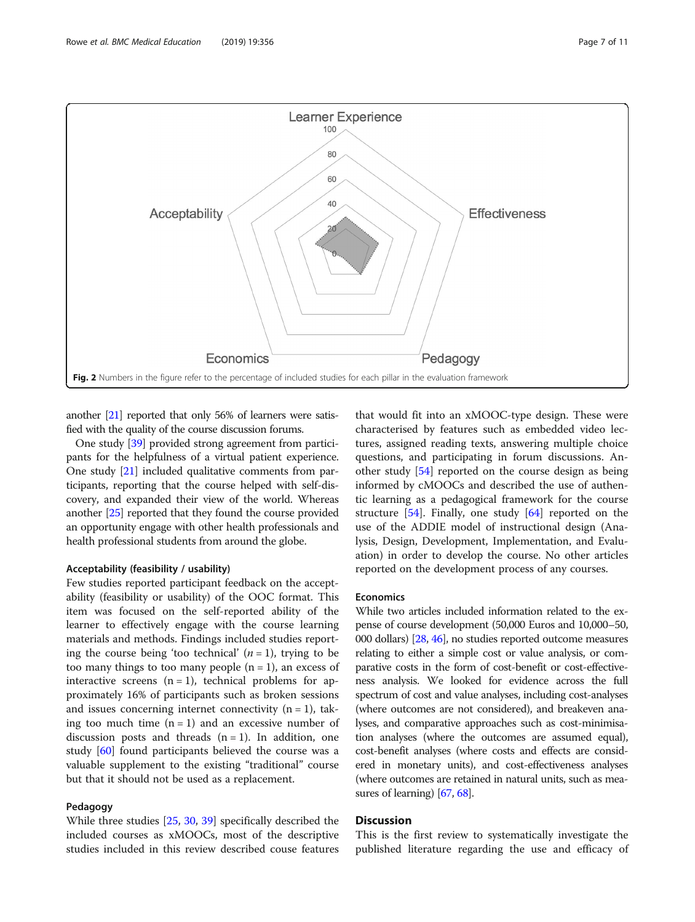<span id="page-6-0"></span>

another [\[21](#page-9-0)] reported that only 56% of learners were satisfied with the quality of the course discussion forums.

One study [\[39\]](#page-9-0) provided strong agreement from participants for the helpfulness of a virtual patient experience. One study [[21](#page-9-0)] included qualitative comments from participants, reporting that the course helped with self-discovery, and expanded their view of the world. Whereas another [\[25](#page-9-0)] reported that they found the course provided an opportunity engage with other health professionals and health professional students from around the globe.

## Acceptability (feasibility / usability)

Few studies reported participant feedback on the acceptability (feasibility or usability) of the OOC format. This item was focused on the self-reported ability of the learner to effectively engage with the course learning materials and methods. Findings included studies reporting the course being 'too technical'  $(n = 1)$ , trying to be too many things to too many people  $(n = 1)$ , an excess of interactive screens  $(n = 1)$ , technical problems for approximately 16% of participants such as broken sessions and issues concerning internet connectivity  $(n = 1)$ , taking too much time  $(n = 1)$  and an excessive number of discussion posts and threads  $(n = 1)$ . In addition, one study [[60\]](#page-10-0) found participants believed the course was a valuable supplement to the existing "traditional" course but that it should not be used as a replacement.

## Pedagogy

While three studies [[25,](#page-9-0) [30,](#page-9-0) [39\]](#page-9-0) specifically described the included courses as xMOOCs, most of the descriptive studies included in this review described couse features

that would fit into an xMOOC-type design. These were characterised by features such as embedded video lectures, assigned reading texts, answering multiple choice questions, and participating in forum discussions. Another study [[54\]](#page-10-0) reported on the course design as being informed by cMOOCs and described the use of authentic learning as a pedagogical framework for the course structure  $[54]$  $[54]$  $[54]$ . Finally, one study  $[64]$  $[64]$  reported on the use of the ADDIE model of instructional design (Analysis, Design, Development, Implementation, and Evaluation) in order to develop the course. No other articles reported on the development process of any courses.

## Economics

While two articles included information related to the expense of course development (50,000 Euros and 10,000–50, 000 dollars) [\[28](#page-9-0), [46](#page-10-0)], no studies reported outcome measures relating to either a simple cost or value analysis, or comparative costs in the form of cost-benefit or cost-effectiveness analysis. We looked for evidence across the full spectrum of cost and value analyses, including cost-analyses (where outcomes are not considered), and breakeven analyses, and comparative approaches such as cost-minimisation analyses (where the outcomes are assumed equal), cost-benefit analyses (where costs and effects are considered in monetary units), and cost-effectiveness analyses (where outcomes are retained in natural units, such as mea-sures of learning) [\[67](#page-10-0), [68](#page-10-0)].

## **Discussion**

This is the first review to systematically investigate the published literature regarding the use and efficacy of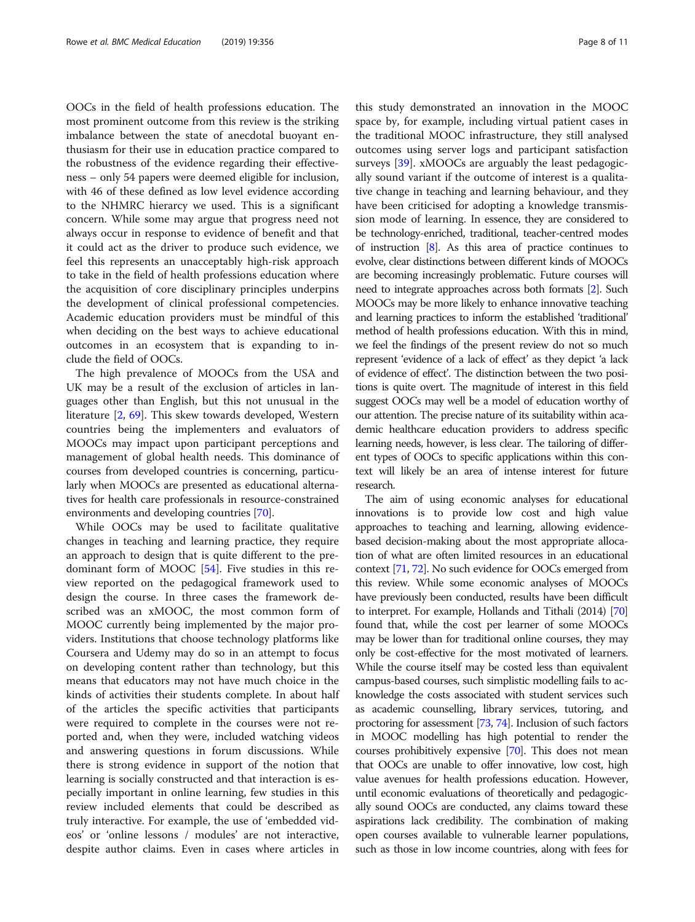OOCs in the field of health professions education. The most prominent outcome from this review is the striking imbalance between the state of anecdotal buoyant enthusiasm for their use in education practice compared to the robustness of the evidence regarding their effectiveness – only 54 papers were deemed eligible for inclusion, with 46 of these defined as low level evidence according to the NHMRC hierarcy we used. This is a significant concern. While some may argue that progress need not always occur in response to evidence of benefit and that it could act as the driver to produce such evidence, we feel this represents an unacceptably high-risk approach to take in the field of health professions education where the acquisition of core disciplinary principles underpins the development of clinical professional competencies. Academic education providers must be mindful of this when deciding on the best ways to achieve educational outcomes in an ecosystem that is expanding to include the field of OOCs.

The high prevalence of MOOCs from the USA and UK may be a result of the exclusion of articles in languages other than English, but this not unusual in the literature [\[2](#page-9-0), [69\]](#page-10-0). This skew towards developed, Western countries being the implementers and evaluators of MOOCs may impact upon participant perceptions and management of global health needs. This dominance of courses from developed countries is concerning, particularly when MOOCs are presented as educational alternatives for health care professionals in resource-constrained environments and developing countries [\[70\]](#page-10-0).

While OOCs may be used to facilitate qualitative changes in teaching and learning practice, they require an approach to design that is quite different to the predominant form of MOOC [\[54\]](#page-10-0). Five studies in this review reported on the pedagogical framework used to design the course. In three cases the framework described was an xMOOC, the most common form of MOOC currently being implemented by the major providers. Institutions that choose technology platforms like Coursera and Udemy may do so in an attempt to focus on developing content rather than technology, but this means that educators may not have much choice in the kinds of activities their students complete. In about half of the articles the specific activities that participants were required to complete in the courses were not reported and, when they were, included watching videos and answering questions in forum discussions. While there is strong evidence in support of the notion that learning is socially constructed and that interaction is especially important in online learning, few studies in this review included elements that could be described as truly interactive. For example, the use of 'embedded videos' or 'online lessons / modules' are not interactive, despite author claims. Even in cases where articles in

this study demonstrated an innovation in the MOOC space by, for example, including virtual patient cases in the traditional MOOC infrastructure, they still analysed outcomes using server logs and participant satisfaction surveys [\[39\]](#page-9-0). xMOOCs are arguably the least pedagogically sound variant if the outcome of interest is a qualitative change in teaching and learning behaviour, and they have been criticised for adopting a knowledge transmission mode of learning. In essence, they are considered to be technology-enriched, traditional, teacher-centred modes of instruction [\[8\]](#page-9-0). As this area of practice continues to evolve, clear distinctions between different kinds of MOOCs are becoming increasingly problematic. Future courses will need to integrate approaches across both formats [\[2\]](#page-9-0). Such MOOCs may be more likely to enhance innovative teaching and learning practices to inform the established 'traditional' method of health professions education. With this in mind, we feel the findings of the present review do not so much represent 'evidence of a lack of effect' as they depict 'a lack of evidence of effect'. The distinction between the two positions is quite overt. The magnitude of interest in this field suggest OOCs may well be a model of education worthy of our attention. The precise nature of its suitability within academic healthcare education providers to address specific learning needs, however, is less clear. The tailoring of different types of OOCs to specific applications within this context will likely be an area of intense interest for future research.

The aim of using economic analyses for educational innovations is to provide low cost and high value approaches to teaching and learning, allowing evidencebased decision-making about the most appropriate allocation of what are often limited resources in an educational context [\[71,](#page-10-0) [72\]](#page-10-0). No such evidence for OOCs emerged from this review. While some economic analyses of MOOCs have previously been conducted, results have been difficult to interpret. For example, Hollands and Tithali (2014) [\[70](#page-10-0)] found that, while the cost per learner of some MOOCs may be lower than for traditional online courses, they may only be cost-effective for the most motivated of learners. While the course itself may be costed less than equivalent campus-based courses, such simplistic modelling fails to acknowledge the costs associated with student services such as academic counselling, library services, tutoring, and proctoring for assessment [\[73,](#page-10-0) [74\]](#page-10-0). Inclusion of such factors in MOOC modelling has high potential to render the courses prohibitively expensive [\[70\]](#page-10-0). This does not mean that OOCs are unable to offer innovative, low cost, high value avenues for health professions education. However, until economic evaluations of theoretically and pedagogically sound OOCs are conducted, any claims toward these aspirations lack credibility. The combination of making open courses available to vulnerable learner populations, such as those in low income countries, along with fees for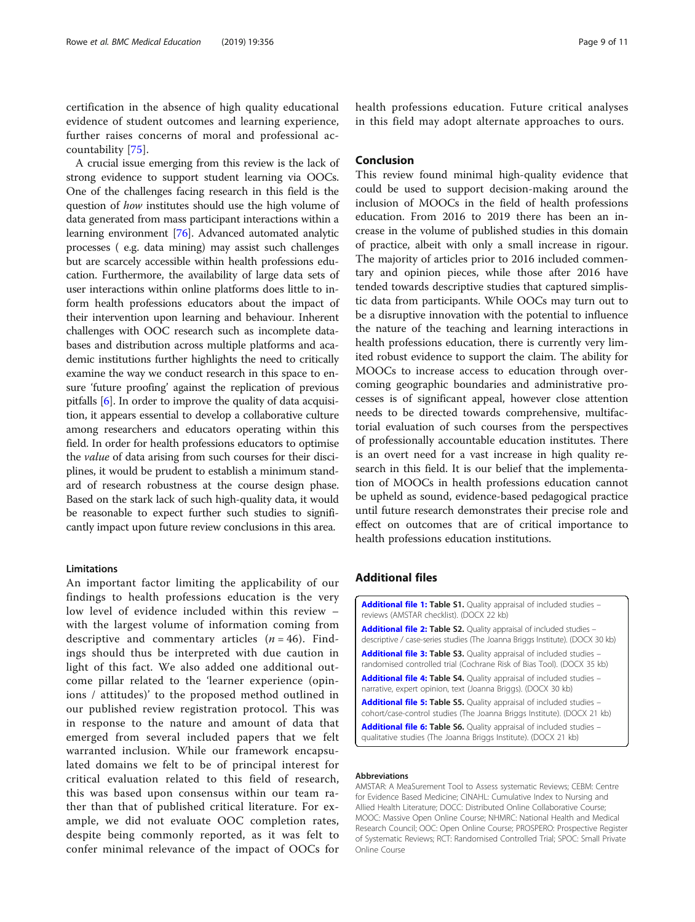<span id="page-8-0"></span>certification in the absence of high quality educational evidence of student outcomes and learning experience, further raises concerns of moral and professional accountability [\[75](#page-10-0)].

A crucial issue emerging from this review is the lack of strong evidence to support student learning via OOCs. One of the challenges facing research in this field is the question of how institutes should use the high volume of data generated from mass participant interactions within a learning environment [\[76\]](#page-10-0). Advanced automated analytic processes ( e.g. data mining) may assist such challenges but are scarcely accessible within health professions education. Furthermore, the availability of large data sets of user interactions within online platforms does little to inform health professions educators about the impact of their intervention upon learning and behaviour. Inherent challenges with OOC research such as incomplete databases and distribution across multiple platforms and academic institutions further highlights the need to critically examine the way we conduct research in this space to ensure 'future proofing' against the replication of previous pitfalls [[6\]](#page-9-0). In order to improve the quality of data acquisition, it appears essential to develop a collaborative culture among researchers and educators operating within this field. In order for health professions educators to optimise the value of data arising from such courses for their disciplines, it would be prudent to establish a minimum standard of research robustness at the course design phase. Based on the stark lack of such high-quality data, it would be reasonable to expect further such studies to significantly impact upon future review conclusions in this area.

## Limitations

An important factor limiting the applicability of our findings to health professions education is the very low level of evidence included within this review – with the largest volume of information coming from descriptive and commentary articles  $(n = 46)$ . Findings should thus be interpreted with due caution in light of this fact. We also added one additional outcome pillar related to the 'learner experience (opinions / attitudes)' to the proposed method outlined in our published review registration protocol. This was in response to the nature and amount of data that emerged from several included papers that we felt warranted inclusion. While our framework encapsulated domains we felt to be of principal interest for critical evaluation related to this field of research, this was based upon consensus within our team rather than that of published critical literature. For example, we did not evaluate OOC completion rates, despite being commonly reported, as it was felt to confer minimal relevance of the impact of OOCs for

health professions education. Future critical analyses in this field may adopt alternate approaches to ours.

## Conclusion

This review found minimal high-quality evidence that could be used to support decision-making around the inclusion of MOOCs in the field of health professions education. From 2016 to 2019 there has been an increase in the volume of published studies in this domain of practice, albeit with only a small increase in rigour. The majority of articles prior to 2016 included commentary and opinion pieces, while those after 2016 have tended towards descriptive studies that captured simplistic data from participants. While OOCs may turn out to be a disruptive innovation with the potential to influence the nature of the teaching and learning interactions in health professions education, there is currently very limited robust evidence to support the claim. The ability for MOOCs to increase access to education through overcoming geographic boundaries and administrative processes is of significant appeal, however close attention needs to be directed towards comprehensive, multifactorial evaluation of such courses from the perspectives of professionally accountable education institutes. There is an overt need for a vast increase in high quality research in this field. It is our belief that the implementation of MOOCs in health professions education cannot be upheld as sound, evidence-based pedagogical practice until future research demonstrates their precise role and effect on outcomes that are of critical importance to health professions education institutions.

## Additional files

#### Abbreviations

AMSTAR: A MeaSurement Tool to Assess systematic Reviews; CEBM: Centre for Evidence Based Medicine; CINAHL: Cumulative Index to Nursing and Allied Health Literature; DOCC: Distributed Online Collaborative Course; MOOC: Massive Open Online Course; NHMRC: National Health and Medical Research Council; OOC: Open Online Course; PROSPERO: Prospective Register of Systematic Reviews; RCT: Randomised Controlled Trial; SPOC: Small Private Online Course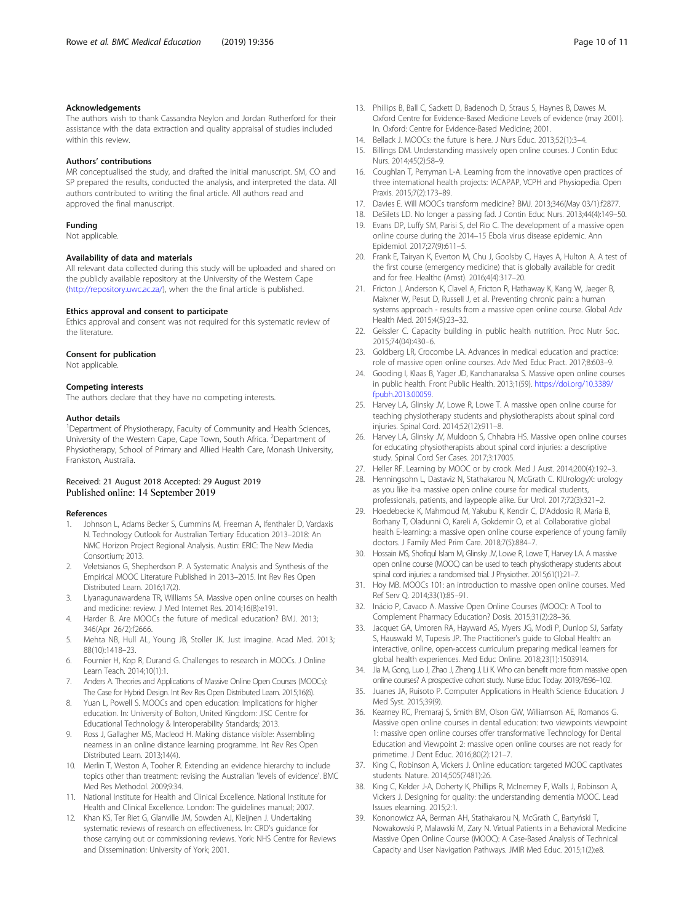## <span id="page-9-0"></span>Acknowledgements

The authors wish to thank Cassandra Neylon and Jordan Rutherford for their assistance with the data extraction and quality appraisal of studies included within this review.

#### Authors' contributions

MR conceptualised the study, and drafted the initial manuscript. SM, CO and SP prepared the results, conducted the analysis, and interpreted the data. All authors contributed to writing the final article. All authors read and approved the final manuscript.

#### Funding

Not applicable.

#### Availability of data and materials

All relevant data collected during this study will be uploaded and shared on the publicly available repository at the University of the Western Cape (<http://repository.uwc.ac.za/>), when the the final article is published.

## Ethics approval and consent to participate

Ethics approval and consent was not required for this systematic review of the literature.

#### Consent for publication

Not applicable.

#### Competing interests

The authors declare that they have no competing interests.

#### Author details

<sup>1</sup>Department of Physiotherapy, Faculty of Community and Health Sciences, University of the Western Cape, Cape Town, South Africa. <sup>2</sup>Department of Physiotherapy, School of Primary and Allied Health Care, Monash University, Frankston, Australia.

#### Received: 21 August 2018 Accepted: 29 August 2019 Published online: 14 September 2019

#### References

- 1. Johnson L, Adams Becker S, Cummins M, Freeman A, Ifenthaler D, Vardaxis N. Technology Outlook for Australian Tertiary Education 2013–2018: An NMC Horizon Project Regional Analysis. Austin: ERIC: The New Media Consortium; 2013.
- 2. Veletsianos G, Shepherdson P. A Systematic Analysis and Synthesis of the Empirical MOOC Literature Published in 2013–2015. Int Rev Res Open Distributed Learn. 2016;17(2).
- 3. Liyanagunawardena TR, Williams SA. Massive open online courses on health and medicine: review. J Med Internet Res. 2014;16(8):e191.
- 4. Harder B. Are MOOCs the future of medical education? BMJ. 2013; 346(Apr 26/2):f2666.
- 5. Mehta NB, Hull AL, Young JB, Stoller JK. Just imagine. Acad Med. 2013; 88(10):1418–23.
- 6. Fournier H, Kop R, Durand G. Challenges to research in MOOCs. J Online Learn Teach. 2014;10(1):1.
- 7. Anders A. Theories and Applications of Massive Online Open Courses (MOOCs): The Case for Hybrid Design. Int Rev Res Open Distributed Learn. 2015;16(6).
- 8. Yuan L, Powell S. MOOCs and open education: Implications for higher education. In: University of Bolton, United Kingdom: JISC Centre for Educational Technology & Interoperability Standards; 2013.
- Ross J, Gallagher MS, Macleod H. Making distance visible: Assembling nearness in an online distance learning programme. Int Rev Res Open Distributed Learn. 2013;14(4).
- 10. Merlin T, Weston A, Tooher R. Extending an evidence hierarchy to include topics other than treatment: revising the Australian 'levels of evidence'. BMC Med Res Methodol. 2009;9:34.
- 11. National Institute for Health and Clinical Excellence. National Institute for Health and Clinical Excellence. London: The guidelines manual; 2007.
- 12. Khan KS, Ter Riet G, Glanville JM, Sowden AJ, Kleijnen J. Undertaking systematic reviews of research on effectiveness. In: CRD's guidance for those carrying out or commissioning reviews. York: NHS Centre for Reviews and Dissemination: University of York; 2001.
- 13. Phillips B, Ball C, Sackett D, Badenoch D, Straus S, Haynes B, Dawes M. Oxford Centre for Evidence-Based Medicine Levels of evidence (may 2001). In. Oxford: Centre for Evidence-Based Medicine; 2001.
- 14. Bellack J. MOOCs: the future is here. J Nurs Educ. 2013;52(1):3–4.
- 15. Billings DM. Understanding massively open online courses. J Contin Educ Nurs. 2014;45(2):58–9.
- 16. Coughlan T, Perryman L-A. Learning from the innovative open practices of three international health projects: IACAPAP, VCPH and Physiopedia. Open Praxis. 2015;7(2):173–89.
- 17. Davies E. Will MOOCs transform medicine? BMJ. 2013;346(May 03/1):f2877.
- 18. DeSilets LD. No longer a passing fad. J Contin Educ Nurs. 2013;44(4):149–50.
- 19. Evans DP, Luffy SM, Parisi S, del Rio C. The development of a massive open online course during the 2014–15 Ebola virus disease epidemic. Ann Epidemiol. 2017;27(9):611–5.
- 20. Frank E, Tairyan K, Everton M, Chu J, Goolsby C, Hayes A, Hulton A. A test of the first course (emergency medicine) that is globally available for credit and for free. Healthc (Amst). 2016;4(4):317–20.
- 21. Fricton J, Anderson K, Clavel A, Fricton R, Hathaway K, Kang W, Jaeger B, Maixner W, Pesut D, Russell J, et al. Preventing chronic pain: a human systems approach - results from a massive open online course. Global Adv Health Med. 2015;4(5):23–32.
- 22. Geissler C. Capacity building in public health nutrition. Proc Nutr Soc. 2015;74(04):430–6.
- 23. Goldberg LR, Crocombe LA. Advances in medical education and practice: role of massive open online courses. Adv Med Educ Pract. 2017;8:603–9.
- 24. Gooding I, Klaas B, Yager JD, Kanchanaraksa S. Massive open online courses in public health. Front Public Health. 2013;1(59). [https://doi.org/10.3389/](https://doi.org/10.3389/fpubh.2013.00059) [fpubh.2013.00059.](https://doi.org/10.3389/fpubh.2013.00059)
- 25. Harvey LA, Glinsky JV, Lowe R, Lowe T. A massive open online course for teaching physiotherapy students and physiotherapists about spinal cord injuries. Spinal Cord. 2014;52(12):911–8.
- 26. Harvey LA, Glinsky JV, Muldoon S, Chhabra HS. Massive open online courses for educating physiotherapists about spinal cord injuries: a descriptive study. Spinal Cord Ser Cases. 2017;3:17005.
- 27. Heller RF. Learning by MOOC or by crook. Med J Aust. 2014;200(4):192–3.
- 28. Henningsohn L, Dastaviz N, Stathakarou N, McGrath C. KIUrologyX: urology as you like it-a massive open online course for medical students, professionals, patients, and laypeople alike. Eur Urol. 2017;72(3):321–2.
- 29. Hoedebecke K, Mahmoud M, Yakubu K, Kendir C, D'Addosio R, Maria B, Borhany T, Oladunni O, Kareli A, Gokdemir O, et al. Collaborative global health E-learning: a massive open online course experience of young family doctors. J Family Med Prim Care. 2018;7(5):884–7.
- 30. Hossain MS, Shofiqul Islam M, Glinsky JV, Lowe R, Lowe T, Harvey LA. A massive open online course (MOOC) can be used to teach physiotherapy students about spinal cord injuries: a randomised trial. J Physiother. 2015;61(1):21–7.
- 31. Hoy MB. MOOCs 101: an introduction to massive open online courses. Med Ref Serv Q. 2014;33(1):85–91.
- 32. Inácio P, Cavaco A. Massive Open Online Courses (MOOC): A Tool to Complement Pharmacy Education? Dosis. 2015;31(2):28–36.
- 33. Jacquet GA, Umoren RA, Hayward AS, Myers JG, Modi P, Dunlop SJ, Sarfaty S, Hauswald M, Tupesis JP. The Practitioner's guide to Global Health: an interactive, online, open-access curriculum preparing medical learners for global health experiences. Med Educ Online. 2018;23(1):1503914.
- 34. Jia M, Gong, Luo J, Zhao J, Zheng J, Li K. Who can benefit more from massive open online courses? A prospective cohort study. Nurse Educ Today. 2019;76:96–102.
- 35. Juanes JA, Ruisoto P. Computer Applications in Health Science Education. J Med Syst. 2015;39(9).
- 36. Kearney RC, Premaraj S, Smith BM, Olson GW, Williamson AE, Romanos G. Massive open online courses in dental education: two viewpoints viewpoint 1: massive open online courses offer transformative Technology for Dental Education and Viewpoint 2: massive open online courses are not ready for primetime. J Dent Educ. 2016;80(2):121–7.
- 37. King C, Robinson A, Vickers J. Online education: targeted MOOC captivates students. Nature. 2014;505(7481):26.
- 38. King C, Kelder J-A, Doherty K, Phillips R, McInerney F, Walls J, Robinson A, Vickers J. Designing for quality: the understanding dementia MOOC. Lead Issues elearning. 2015;2:1.
- 39. Kononowicz AA, Berman AH, Stathakarou N, McGrath C, Bartyński T, Nowakowski P, Malawski M, Zary N. Virtual Patients in a Behavioral Medicine Massive Open Online Course (MOOC): A Case-Based Analysis of Technical Capacity and User Navigation Pathways. JMIR Med Educ. 2015;1(2):e8.